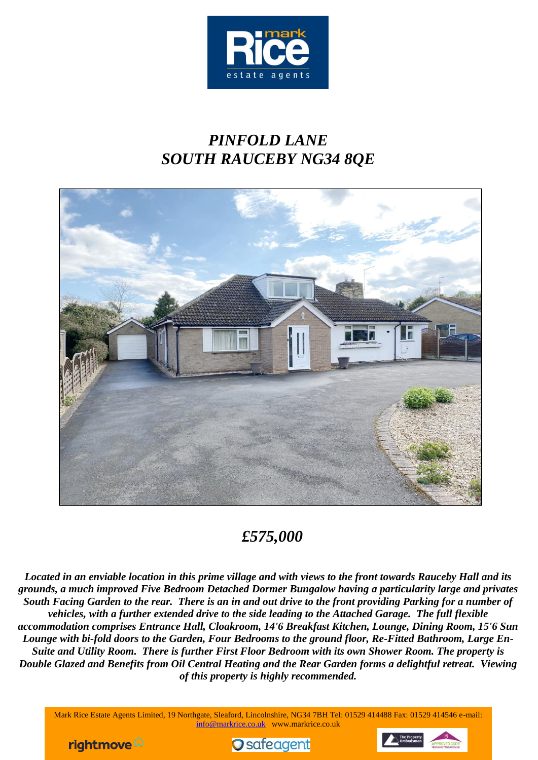

# *PINFOLD LANE SOUTH RAUCEBY NG34 8QE*



# *£575,000*

*Located in an enviable location in this prime village and with views to the front towards Rauceby Hall and its grounds, a much improved Five Bedroom Detached Dormer Bungalow having a particularity large and privates South Facing Garden to the rear. There is an in and out drive to the front providing Parking for a number of vehicles, with a further extended drive to the side leading to the Attached Garage. The full flexible accommodation comprises Entrance Hall, Cloakroom, 14'6 Breakfast Kitchen, Lounge, Dining Room, 15'6 Sun Lounge with bi-fold doors to the Garden, Four Bedrooms to the ground floor, Re-Fitted Bathroom, Large En-Suite and Utility Room. There is further First Floor Bedroom with its own Shower Room. The property is Double Glazed and Benefits from Oil Central Heating and the Rear Garden forms a delightful retreat. Viewing of this property is highly recommended.*

Mark Rice Estate Agents Limited, 19 Northgate, Sleaford, Lincolnshire, NG34 7BH Tel: 01529 414488 Fax: 01529 414546 e-mail: info@markrice.co.uk www.markrice.co.uk

rightmove  $\hat{\omega}$ 



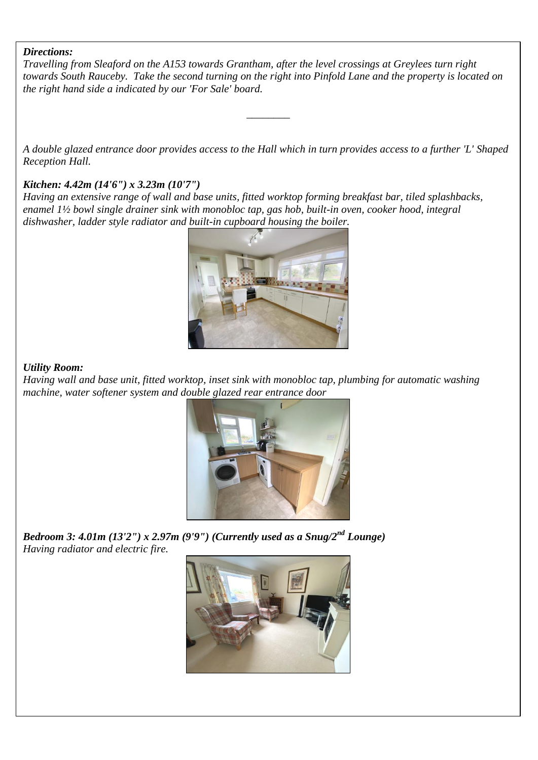#### *Directions:*

*Travelling from Sleaford on the A153 towards Grantham, after the level crossings at Greylees turn right towards South Rauceby. Take the second turning on the right into Pinfold Lane and the property is located on the right hand side a indicated by our 'For Sale' board.*

*A double glazed entrance door provides access to the Hall which in turn provides access to a further 'L' Shaped Reception Hall.*

*\_\_\_\_\_\_\_\_*

### *Kitchen: 4.42m (14'6") x 3.23m (10'7")*

*Having an extensive range of wall and base units, fitted worktop forming breakfast bar, tiled splashbacks, enamel 1½ bowl single drainer sink with monobloc tap, gas hob, built-in oven, cooker hood, integral dishwasher, ladder style radiator and built-in cupboard housing the boiler.*



### *Utility Room:*

*Having wall and base unit, fitted worktop, inset sink with monobloc tap, plumbing for automatic washing machine, water softener system and double glazed rear entrance door*



*Bedroom 3: 4.01m (13'2") x 2.97m (9'9") (Currently used as a Snug/2nd Lounge) Having radiator and electric fire.*

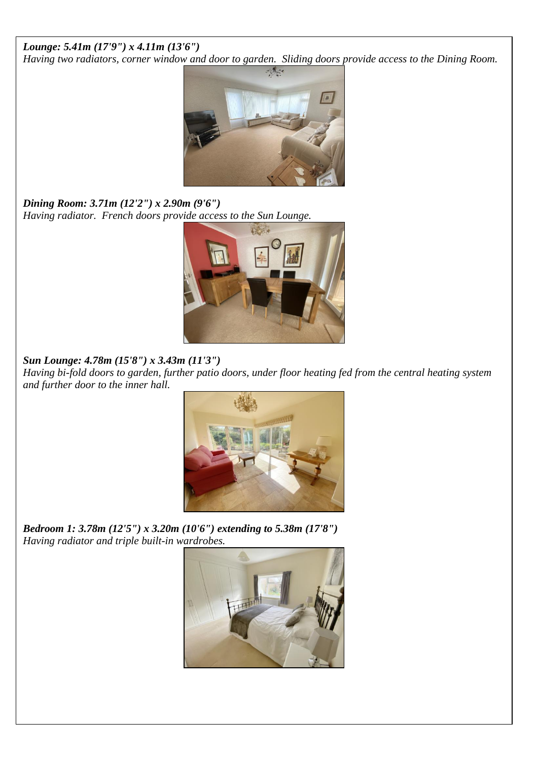# *Lounge: 5.41m (17'9") x 4.11m (13'6")*

*Having two radiators, corner window and door to garden. Sliding doors provide access to the Dining Room.*



*Dining Room: 3.71m (12'2") x 2.90m (9'6") Having radiator. French doors provide access to the Sun Lounge.*



# *Sun Lounge: 4.78m (15'8") x 3.43m (11'3")*

*Having bi-fold doors to garden, further patio doors, under floor heating fed from the central heating system and further door to the inner hall.*



*Bedroom 1: 3.78m (12'5") x 3.20m (10'6") extending to 5.38m (17'8") Having radiator and triple built-in wardrobes.*

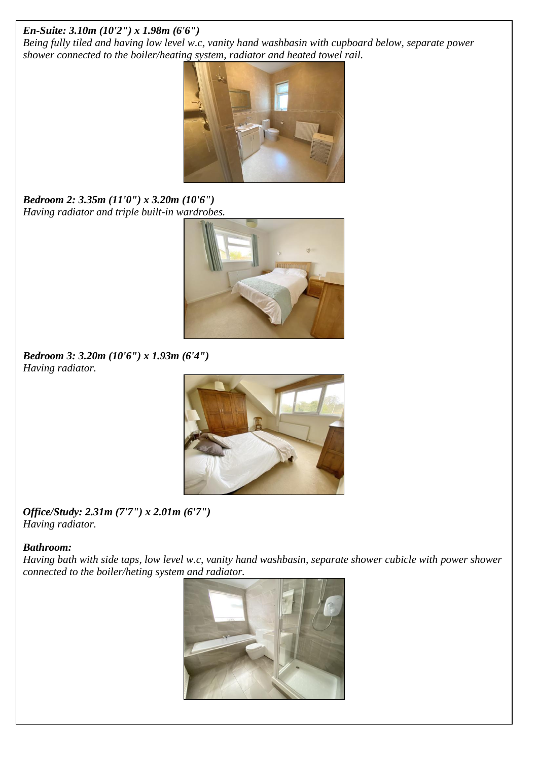# *En-Suite: 3.10m (10'2") x 1.98m (6'6")*

*Being fully tiled and having low level w.c, vanity hand washbasin with cupboard below, separate power shower connected to the boiler/heating system, radiator and heated towel rail.*



*Bedroom 2: 3.35m (11'0") x 3.20m (10'6") Having radiator and triple built-in wardrobes.*



*Bedroom 3: 3.20m (10'6") x 1.93m (6'4") Having radiator.*



*Office/Study: 2.31m (7'7") x 2.01m (6'7") Having radiator.*

# *Bathroom:*

*Having bath with side taps, low level w.c, vanity hand washbasin, separate shower cubicle with power shower connected to the boiler/heting system and radiator.*

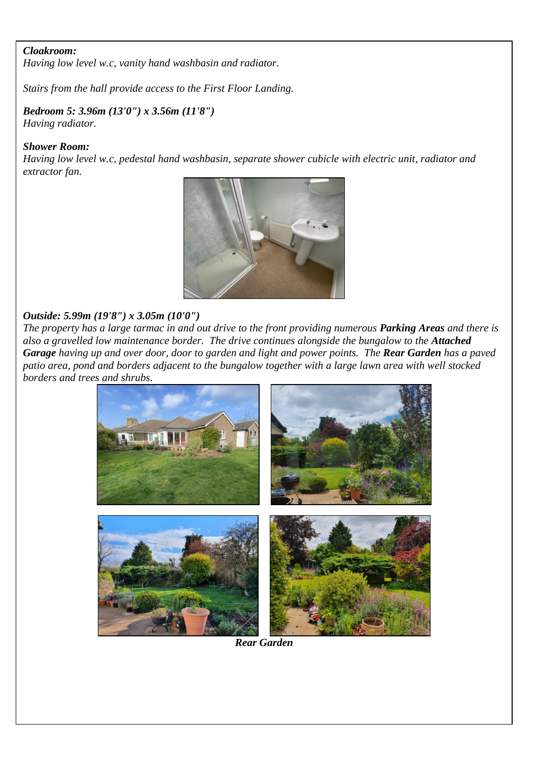#### *Cloakroom:*

*Having low level w.c, vanity hand washbasin and radiator.*

*Stairs from the hall provide access to the First Floor Landing.*

### *Bedroom 5: 3.96m (13'0") x 3.56m (11'8") Having radiator.*

#### *Shower Room:*

*Having low level w.c, pedestal hand washbasin, separate shower cubicle with electric unit, radiator and extractor fan.*



#### *Outside: 5.99m (19'8") x 3.05m (10'0")*

*The property has a large tarmac in and out drive to the front providing numerous Parking Areas and there is also a gravelled low maintenance border. The drive continues alongside the bungalow to the Attached Garage having up and over door, door to garden and light and power points. The Rear Garden has a paved patio area, pond and borders adjacent to the bungalow together with a large lawn area with well stocked borders and trees and shrubs.* 



*Rear Garden*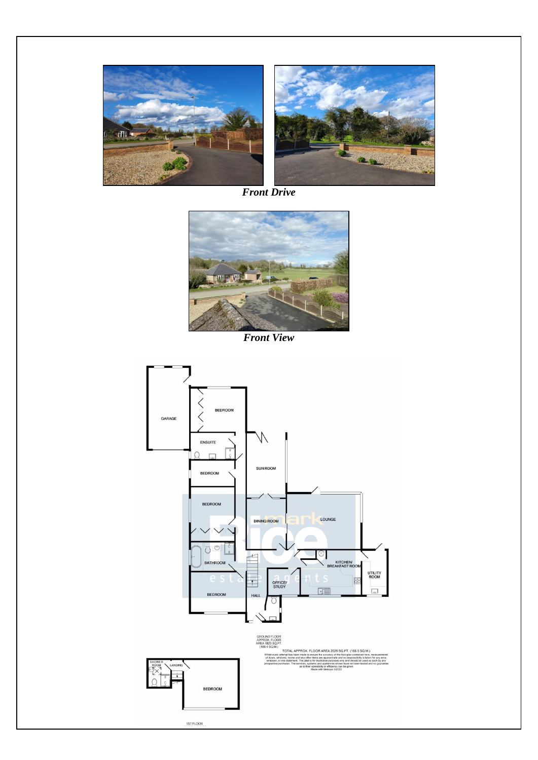

*Front Drive*



*Front View*